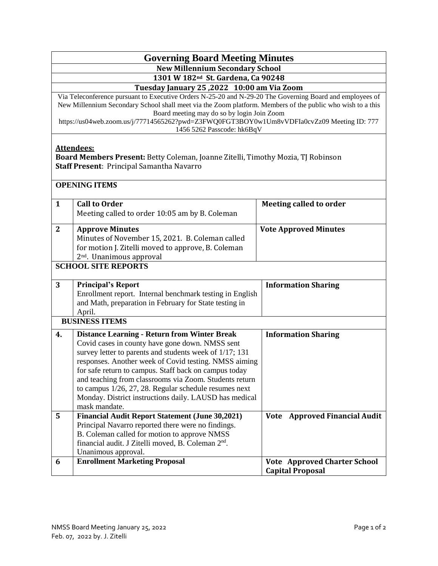## **Governing Board Meeting Minutes**

**New Millennium Secondary School**

**1301 W 182nd St. Gardena, Ca 90248**

**Tuesday January 25 ,2022 10:00 am Via Zoom**

Via Teleconference pursuant to Executive Orders N-25-20 and N-29-20 The Governing Board and employees of New Millennium Secondary School shall meet via the Zoom platform. Members of the public who wish to a this Board meeting may do so by login Join Zoom

https://us04web.zoom.us/j/77714565262?pwd=Z3FWQ0FGT3BOY0w1Um8vVDFIa0cvZz09 Meeting ID: 777 1456 5262 Passcode: hk6BqV

## **Attendees:**

**Board Members Present:** Betty Coleman, Joanne Zitelli, Timothy Mozia, TJ Robinson **Staff Present**: Principal Samantha Navarro

| $\mathbf{1}$               | <b>Call to Order</b>                                           | <b>Meeting called to order</b>      |  |
|----------------------------|----------------------------------------------------------------|-------------------------------------|--|
|                            | Meeting called to order 10:05 am by B. Coleman                 |                                     |  |
| $\overline{2}$             | <b>Approve Minutes</b>                                         | <b>Vote Approved Minutes</b>        |  |
|                            | Minutes of November 15, 2021. B. Coleman called                |                                     |  |
|                            | for motion J. Zitelli moved to approve, B. Coleman             |                                     |  |
|                            | 2 <sup>nd</sup> . Unanimous approval                           |                                     |  |
| <b>SCHOOL SITE REPORTS</b> |                                                                |                                     |  |
|                            |                                                                |                                     |  |
| 3                          | <b>Principal's Report</b>                                      | <b>Information Sharing</b>          |  |
|                            | Enrollment report. Internal benchmark testing in English       |                                     |  |
|                            | and Math, preparation in February for State testing in         |                                     |  |
|                            | April.                                                         |                                     |  |
| <b>BUSINESS ITEMS</b>      |                                                                |                                     |  |
| 4.                         | <b>Distance Learning - Return from Winter Break</b>            | <b>Information Sharing</b>          |  |
|                            | Covid cases in county have gone down. NMSS sent                |                                     |  |
|                            | survey letter to parents and students week of 1/17; 131        |                                     |  |
|                            | responses. Another week of Covid testing. NMSS aiming          |                                     |  |
|                            | for safe return to campus. Staff back on campus today          |                                     |  |
|                            | and teaching from classrooms via Zoom. Students return         |                                     |  |
|                            | to campus $1/26$ , $27$ , $28$ . Regular schedule resumes next |                                     |  |
|                            | Monday. District instructions daily. LAUSD has medical         |                                     |  |
|                            | mask mandate.                                                  |                                     |  |
| 5                          | <b>Financial Audit Report Statement (June 30,2021)</b>         | Vote Approved Financial Audit       |  |
|                            | Principal Navarro reported there were no findings.             |                                     |  |
|                            | B. Coleman called for motion to approve NMSS                   |                                     |  |
|                            | financial audit. J Zitelli moved, B. Coleman 2 <sup>nd</sup> . |                                     |  |
|                            | Unanimous approval.                                            |                                     |  |
| 6                          | <b>Enrollment Marketing Proposal</b>                           | <b>Vote Approved Charter School</b> |  |
|                            |                                                                | <b>Capital Proposal</b>             |  |